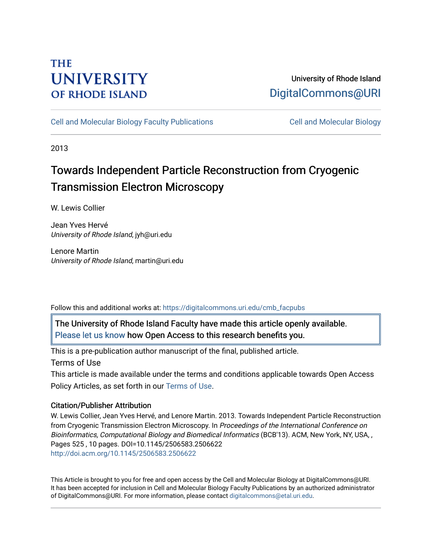# **THE UNIVERSITY OF RHODE ISLAND**

## University of Rhode Island [DigitalCommons@URI](https://digitalcommons.uri.edu/)

[Cell and Molecular Biology Faculty Publications](https://digitalcommons.uri.edu/cmb_facpubs) [Cell and Molecular Biology](https://digitalcommons.uri.edu/cmb) 

2013

# Towards Independent Particle Reconstruction from Cryogenic Transmission Electron Microscopy

W. Lewis Collier

Jean Yves Hervé University of Rhode Island, jyh@uri.edu

Lenore Martin University of Rhode Island, martin@uri.edu

Follow this and additional works at: [https://digitalcommons.uri.edu/cmb\\_facpubs](https://digitalcommons.uri.edu/cmb_facpubs?utm_source=digitalcommons.uri.edu%2Fcmb_facpubs%2F9&utm_medium=PDF&utm_campaign=PDFCoverPages) 

The University of Rhode Island Faculty have made this article openly available. [Please let us know](http://web.uri.edu/library-digital-initiatives/open-access-online-form/) how Open Access to this research benefits you.

This is a pre-publication author manuscript of the final, published article.

Terms of Use

This article is made available under the terms and conditions applicable towards Open Access Policy Articles, as set forth in our [Terms of Use](https://digitalcommons.uri.edu/cmb_facpubs/oa_policy_terms.html).

### Citation/Publisher Attribution

W. Lewis Collier, Jean Yves Hervé, and Lenore Martin. 2013. Towards Independent Particle Reconstruction from Cryogenic Transmission Electron Microscopy. In Proceedings of the International Conference on Bioinformatics, Computational Biology and Biomedical Informatics (BCB'13). ACM, New York, NY, USA, , Pages 525 , 10 pages. DOI=10.1145/2506583.2506622 [http://doi.acm.org/10.1145/2506583.2506622](http://doi.acm.org/10.1145/2506583.2506622%20) 

This Article is brought to you for free and open access by the Cell and Molecular Biology at DigitalCommons@URI. It has been accepted for inclusion in Cell and Molecular Biology Faculty Publications by an authorized administrator of DigitalCommons@URI. For more information, please contact [digitalcommons@etal.uri.edu](mailto:digitalcommons@etal.uri.edu).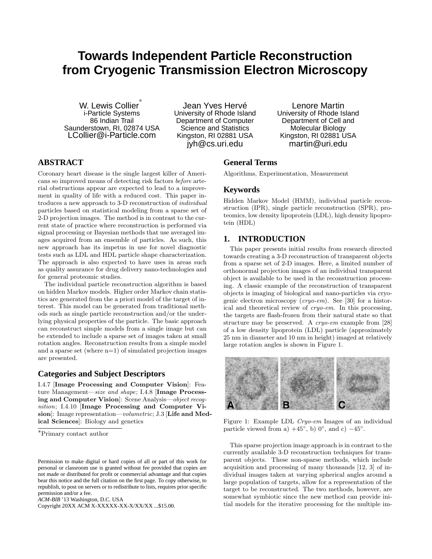## **Towards Independent Particle Reconstruction from Cryogenic Transmission Electron Microscopy**

W. Lewis Collier<sup>\*</sup> i-Particle Systems 86 Indian Trail Saunderstown, RI, 02874 USA LCollier@i-Particle.com

Jean Yves Hervé University of Rhode Island Department of Computer Science and Statistics Kingston, RI 02881 USA jyh@cs.uri.edu

Lenore Martin University of Rhode Island Department of Cell and Molecular Biology Kingston, RI 02881 USA martin@uri.edu

### **ABSTRACT**

Coronary heart disease is the single largest killer of Americans so improved means of detecting risk factors *before* arterial obstructions appear are expected to lead to a improvement in quality of life with a reduced cost. This paper introduces a new approach to 3-D reconstruction of *individual* particles based on statistical modeling from a sparse set of 2-D projection images. The method is in contrast to the current state of practice where reconstruction is performed via signal processing or Bayesian methods that use averaged images acquired from an ensemble of particles. As such, this new approach has its impetus in use for novel diagnostic tests such as LDL and HDL particle shape characterization. The approach is also expected to have uses in areas such as quality assurance for drug delivery nano-technologies and for general proteomic studies.

The individual particle reconstruction algorithm is based on hidden Markov models. Higher order Markov chain statistics are generated from the a priori model of the target of interest. This model can be generated from traditional methods such as single particle reconstruction and/or the underlying physical properties of the particle. The basic approach can reconstruct simple models from a single image but can be extended to include a sparse set of images taken at small rotation angles. Reconstruction results from a simple model and a sparse set (where n=1) of simulated projection images are presented.

#### **Categories and Subject Descriptors**

I.4.7 [Image Processing and Computer Vision]: Feature Management—*size and shape*; I.4.8 [Image Processing and Computer Vision]: Scene Analysis—*object recognition*; I.4.10 [Image Processing and Computer Vision]: Image representation—*volumetric*; J.3 [Life and Medical Sciences]: Biology and genetics

*ACM-BIB* '13 Washington, D.C. USA

Copyright 20XX ACM X-XXXXX-XX-X/XX/XX ...\$15.00.

#### **General Terms**

Algorithms, Experimentation, Measurement

#### **Keywords**

Hidden Markov Model (HMM), individual particle reconstruction (IPR), single particle reconstruction (SPR), proteomics, low density lipoprotein (LDL), high density lipoprotein (HDL)

#### **1. INTRODUCTION**

This paper presents initial results from research directed towards creating a 3-D reconstruction of transparent objects from a sparse set of 2-D images. Here, a limited number of orthonormal projection images of an individual transparent object is available to be used in the reconstruction processing. A classic example of the reconstruction of transparent objects is imaging of biological and nano-particles via cryogenic electron microscopy (*cryo-em*). See [30] for a historical and theoretical review of *cryo-em*. In this processing, the targets are flash-frozen from their natural state so that structure may be preserved. A *cryo-em* example from [28] of a low density lipoprotein (LDL) particle (approximately 25 nm in diameter and 10 nm in height) imaged at relatively large rotation angles is shown in Figure 1.



Figure 1: Example LDL *Cryo-em* Images of an individual particle viewed from a)  $+45^\circ$ , b) 0°, and c)  $-45^\circ$ .

This sparse projection image approach is in contrast to the currently available 3-D reconstruction techniques for transparent objects. These non-sparse methods, which include acquisition and processing of many thousands [12, 3] of individual images taken at varying spherical angles around a large population of targets, allow for a representation of the target to be reconstructed. The two methods, however, are somewhat symbiotic since the new method can provide initial models for the iterative processing for the multiple im-

<sup>∗</sup>Primary contact author

Permission to make digital or hard copies of all or part of this work for personal or classroom use is granted without fee provided that copies are not made or distributed for profit or commercial advantage and that copies bear this notice and the full citation on the first page. To copy otherwise, to republish, to post on servers or to redistribute to lists, requires prior specific permission and/or a fee.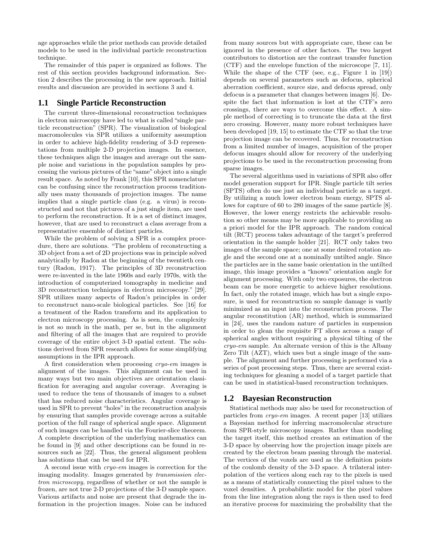age approaches while the prior methods can provide detailed models to be used in the individual particle reconstruction technique.

The remainder of this paper is organized as follows. The rest of this section provides background information. Section 2 describes the processing in the new approach. Initial results and discussion are provided in sections 3 and 4.

#### **1.1 Single Particle Reconstruction**

The current three-dimensional reconstruction techniques in electron microscopy have led to what is called "single particle reconstruction" (SPR). The visualization of biological macromolecules via SPR utilizes a uniformity assumption in order to achieve high-fidelity rendering of 3-D representations from multiple 2-D projection images. In essence, these techniques align the images and average out the sample noise and variations in the population samples by processing the various pictures of the "same" object into a single result space. As noted by Frank [10], this SPR nomenclature can be confusing since the reconstruction process traditionally uses many thousands of projection images. The name implies that a single particle class (e.g. a virus) is reconstructed and not that pictures of a just single item, are used to perform the reconstruction. It is a set of distinct images, however, that are used to reconstruct a class average from a representative ensemble of distinct particles.

While the problem of solving a SPR is a complex procedure, there are solutions. "The problem of reconstructing a 3D object from a set of 2D projections was in principle solved analytically by Radon at the beginning of the twentieth century (Radon, 1917). The principles of 3D reconstruction were re-invented in the late 1960s and early 1970s, with the introduction of computerized tomography in medicine and 3D reconstruction techniques in electron microscopy." [29]. SPR utilizes many aspects of Radon's principles in order to reconstruct nano-scale biological particles. See [16] for a treatment of the Radon transform and its application to electron microscopy processing. As is seen, the complexity is not so much in the math, per se, but in the alignment and filtering of all the images that are required to provide coverage of the entire object 3-D spatial extent. The solutions derived from SPR research allows for some simplifying assumptions in the IPR approach.

A first consideration when processing *cryo-em* images is alignment of the images. This alignment can be used in many ways but two main objectives are orientation classification for averaging and angular coverage. Averaging is used to reduce the tens of thousands of images to a subset that has reduced noise characteristics. Angular coverage is used in SPR to prevent "holes"in the reconstruction analysis by ensuring that samples provide coverage across a suitable portion of the full range of spherical angle space. Alignment of such images can be handled via the Fourier-slice theorem. A complete description of the underlying mathematics can be found in [9] and other descriptions can be found in resources such as [22]. Thus, the general alignment problem has solutions that can be used for IPR.

A second issue with *cryo-em* images is correction for the imaging modality. Images generated by *transmission electron microscopy*, regardless of whether or not the sample is frozen, are not true 2-D projections of the 3-D sample space. Various artifacts and noise are present that degrade the information in the projection images. Noise can be induced from many sources but with appropriate care, these can be ignored in the presence of other factors. The two largest contributors to distortion are the contrast transfer function (CTF) and the envelope function of the microscope [7, 11]. While the shape of the CTF (see, e.g., Figure 1 in [19]) depends on several parameters such as defocus, spherical aberration coefficient, source size, and defocus spread, only defocus is a parameter that changes between images [6]. Despite the fact that information is lost at the CTF's zero crossings, there are ways to overcome this effect. A simple method of correcting is to truncate the data at the first zero crossing. However, many more robust techniques have been developed [19, 15] to estimate the CTF so that the true projection image can be recovered. Thus, for reconstruction from a limited number of images, acquisition of the proper defocus images should allow for recovery of the underlying projections to be used in the reconstruction processing from sparse images.

The several algorithms used in variations of SPR also offer model generation support for IPR. Single particle tilt series (SPTS) often do use just an individual particle as a target. By utilizing a much lower electron beam energy, SPTS allows for capture of 60 to 280 images of the same particle [8]. However, the lower energy restricts the achievable resolution so other means may be more applicable to providing an a priori model for the IPR approach. The random conical tilt (RCT) process takes advantage of the target's preferred orientation in the sample holder [21]. RCT only takes two images of the sample space; one at some desired rotation angle and the second one at a nominally untilted angle. Since the particles are in the same basic orientation in the untilted image, this image provides a "known" orientation angle for alignment processing. With only two exposures, the electron beam can be more energetic to achieve higher resolutions. In fact, only the rotated image, which has but a single exposure, is used for reconstruction so sample damage is vastly minimized as an input into the reconstruction process. The angular reconstitution (AR) method, which is summarized in [24], uses the random nature of particles in suspension in order to glean the requisite FT slices across a range of spherical angles without requiring a physical tilting of the *cryo-em* sample. An alternate version of this is the Albany Zero Tilt (AZT), which uses but a single image of the sample. The alignment and further processing is performed via a series of post processing steps. Thus, there are several existing techniques for gleaning a model of a target particle that can be used in statistical-based reconstruction techniques.

#### **1.2 Bayesian Reconstruction**

Statistical methods may also be used for reconstruction of particles from *cryo-em* images. A recent paper [13] utilizes a Bayesian method for inferring macromolecular structure from SPR-style microscopy images. Rather than modeling the target itself, this method creates an estimation of the 3-D space by observing how the projection image pixels are created by the electron beam passing through the material. The vertices of the voxels are used as the definition points of the coulomb density of the 3-D space. A trilateral interpolation of the vertices along each ray to the pixels is used as a means of statistically connecting the pixel values to the voxel densities. A probabilistic model for the pixel values from the line integration along the rays is then used to feed an iterative process for maximizing the probability that the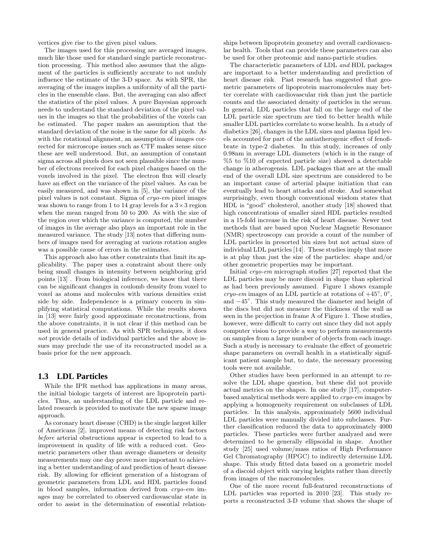vertices give rise to the given pixel values.

The images used for this processing are averaged images, much like those used for standard single particle reconstruction processing. This method also assumes that the alignment of the particles is sufficiently accurate to not unduly influence the estimate of the 3-D space. As with SPR, the averaging of the images implies a uniformity of all the particles in the ensemble class. But, the averaging can also affect the statistics of the pixel values. A pure Bayesian approach needs to understand the standard deviation of the pixel values in the images so that the probabilities of the voxels can be estimated. The paper makes an assumption that the standard deviation of the noise is the same for all pixels. As with the rotational alignment, an assumption of images corrected for microscope issues such as CTF makes sense since these are well understood. But, an assumption of constant sigma across all pixels does not seen plausible since the number of electrons received for each pixel changes based on the voxels involved in the pixel. The electron flux will clearly have an effect on the variance of the pixel values. As can be easily measured, and was shown in [5], the variance of the pixel values is not constant. Sigma of *cryo-em* pixel images was shown to range from 1 to 14 gray levels for a  $3 \times 3$  region when the mean ranged from 50 to 200. As with the size of the region over which the variance is computed, the number of images in the average also plays an important role in the measured variance. The study [13] notes that differing numbers of images used for averaging at various rotation angles was a possible cause of errors in the estimates.

This approach also has other constraints that limit its applicability. The paper uses a constraint about there only being small changes in intensity between neighboring grid points [13] . From biological inference, we know that there can be significant changes in coulomb density from voxel to voxel as atoms and molecules with various densities exist side by side. Independence is a primary concern in simplifying statistical computations. While the results shown in [13] were fairly good approximate reconstructions, from the above constraints, it is not clear if this method can be used in general practice. As with SPR techniques, it does *not* provide details of individual particles and the above issues may preclude the use of its reconstructed model as a basis prior for the new approach.

#### **1.3 LDL Particles**

While the IPR method has applications in many areas, the initial biologic targets of interest are lipoprotein particles. Thus, an understanding of the LDL particle and related research is provided to motivate the new sparse image approach.

As coronary heart disease (CHD) is the single largest killer of Americans [2], improved means of detecting risk factors *before* arterial obstructions appear is expected to lead to a improvement in quality of life with a reduced cost. Geometric parameters other than average diameters or density measurements may one day prove more important to achieving a better understanding of and prediction of heart disease risk. By allowing for efficient generation of a histogram of geometric parameters from LDL and HDL particles found in blood samples, information derived from *cryo-em* images may be correlated to observed cardiovascular state in order to assist in the determination of essential relationships between lipoprotein geometry and overall cardiovascular health. Tools that can provide these parameters can also be used for other proteomic and nano-particle studies.

The characteristic parameters of LDL *and* HDL packages are important to a better understanding and prediction of heart disease risk. Past research has suggested that geometric parameters of lipoprotein macromolecules may better correlate with cardiovascular risk than just the particle counts and the associated density of particles in the serum. In general, LDL particles that fall on the large end of the LDL particle size spectrum are tied to better health while smaller LDL particles correlate to worse health. In a study of diabetics [26], changes in the LDL sizes and plasma lipid levels accounted for part of the antiatherogenic effect of fenofibrate in type-2 diabetes. In this study, increases of only 0.98nm in average LDL diameters (which is in the range of %5 to %10 of expected particle size) showed a detectable change in atherogensis. LDL packages that are at the small end of the overall LDL size spectrum are considered to be an important cause of arterial plaque initiation that can eventually lead to heart attacks and stroke. And somewhat surprisingly, even though conventional wisdom states that HDL is "good" cholesterol, another study [18] showed that high concentrations of smaller sized HDL particles resulted in a 15-fold increase in the risk of heart disease. Newer test methods that are based upon Nuclear Magnetic Resonance (NMR) spectroscopy can provide a count of the number of LDL particles in presorted bin sizes but not actual sizes of individual LDL particles [14]. These studies imply that more is at play than just the size of the particles: shape and/or other geometric properties may be important.

Initial *cryo-em* micrograph studies [27] reported that the LDL particles may be more discoid in shape than spherical as had been previously assumed. Figure 1 shows example *cryo-em* images of an LDL particle at rotations of  $+45^\circ, 0^\circ$ , and −45◦ . This study measured the diameter and height of the discs but did not measure the thickness of the wall as seen in the projection in frame A of Figure 1. These studies, however, were difficult to carry out since they did not apply computer vision to provide a way to perform measurements on samples from a large number of objects from each image. Such a study is necessary to evaluate the effect of geometric shape parameters on overall health in a statistically significant patient sample but, to date, the necessary processing tools were not available.

Other studies have been performed in an attempt to resolve the LDL shape question, but these did not provide actual metrics on the shapes. In one study [17], computerbased analytical methods were applied to *cryo-em* images by applying a homogeneity requirement on subclasses of LDL particles. In this analysis, approximately 5600 individual LDL particles were manually divided into subclasses. Further classification reduced the data to approximately 4000 particles. These particles were further analyzed and were determined to be generally ellipsoidal in shape. Another study [25] used volume/mass ratios of High Performance Gel Chromatography (HPGC) to indirectly determine LDL shape. This study fitted data based on a geometric model of a discoid object with varying heights rather than directly from images of the macromolecules.

One of the more recent full-featured reconstructions of LDL particles was reported in 2010 [23]. This study reports a reconstructed 3-D volume that shows the shape of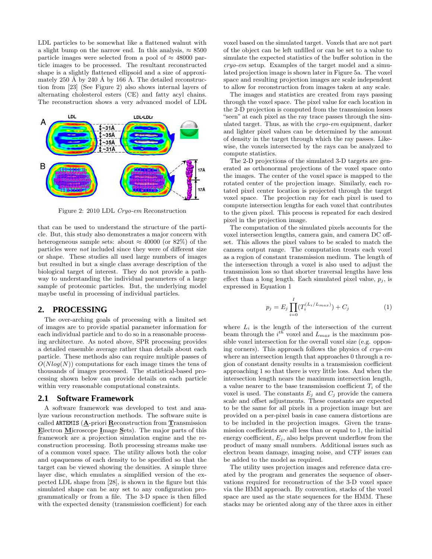LDL particles to be somewhat like a flattened walnut with a slight bump on the narrow end. In this analysis,  $\approx 8500$ particle images were selected from a pool of  $\approx 48000$  particle images to be processed. The resultant reconstructed shape is a slightly flattened ellipsoid and a size of approximately 250 Å by 240 Å by 166 Å. The detailed reconstruction from [23] (See Figure 2) also shows internal layers of alternating cholesterol esters (CE) and fatty acyl chains. The reconstruction shows a very advanced model of LDL



Figure 2: 2010 LDL *Cryo-em* Reconstruction

that can be used to understand the structure of the particle. But, this study also demonstrates a major concern with heterogeneous sample sets: about  $\approx 40000$  (or 82%) of the particles were *not* included since they were of different size or shape. These studies all used large numbers of images but resulted in but a single class average description of the biological target of interest. They do not provide a pathway to understanding the individual parameters of a large sample of proteomic particles. But, the underlying model maybe useful in processing of individual particles.

#### **2. PROCESSING**

The over-arching goals of processing with a limited set of images are to provide spatial parameter information for each individual particle and to do so in a reasonable processing architecture. As noted above, SPR processing provides a detailed ensemble average rather than details about each particle. These methods also can require multiple passes of  $O(N \log(N))$  computations for each image times the tens of thousands of images processed. The statistical-based processing shown below can provide details on each particle within very reasonable computational constraints.

#### **2.1 Software Framework**

A software framework was developed to test and analyze various reconstruction methods. The software suite is called ARTEMIS ( $\underline{A}$ -priori  $\underline{R}$ econstruction from Transmission Electron Microscope Image Sets). The major parts of this framework are a projection simulation engine and the reconstruction processing. Both processing streams make use of a common voxel space. The utility allows both the color and opaqueness of each density to be specified so that the target can be viewed showing the densities. A simple three layer disc, which emulates a simplified version of the expected LDL shape from [28], is shown in the figure but this simulated shape can be any set to any configuration programmatically or from a file. The 3-D space is then filled with the expected density (transmission coefficient) for each

voxel based on the simulated target. Voxels that are not part of the object can be left unfilled or can be set to a value to simulate the expected statistics of the buffer solution in the *cryo-em* setup. Examples of the target model and a simulated projection image is shown later in Figure 5a. The voxel space and resulting projection images are scale independent to allow for reconstruction from images taken at any scale.

The images and statistics are created from rays passing through the voxel space. The pixel value for each location in the 2-D projection is computed from the transmission losses "seen" at each pixel as the ray trace passes through the simulated target. Thus, as with the *cryo-em* equipment, darker and lighter pixel values can be determined by the amount of density in the target through which the ray passes. Likewise, the voxels intersected by the rays can be analyzed to compute statistics.

The 2-D projections of the simulated 3-D targets are generated as orthonormal projections of the voxel space onto the images. The center of the voxel space is mapped to the rotated center of the projection image. Similarly, each rotated pixel center location is projected through the target voxel space. The projection ray for each pixel is used to compute intersection lengths for each voxel that contributes to the given pixel. This process is repeated for each desired pixel in the projection image.

The computation of the simulated pixels accounts for the voxel intersection lengths, camera gain, and camera DC offset. This allows the pixel values to be scaled to match the camera output range. The computation treats each voxel as a region of constant transmission medium. The length of the intersection through a voxel is also used to adjust the transmission loss so that shorter traversal lengths have less effect than a long length. Each simulated pixel value,  $p_i$ , is expressed in Equation 1

$$
p_j = E_j \prod_{i=0}^{I} (T_i^{(L_i/L_{max})}) + C_j
$$
 (1)

where  $L_i$  is the length of the intersection of the current beam through the  $i^{th}$  voxel and  $L_{max}$  is the maximum possible voxel intersection for the overall voxel size (e.g. opposing corners). This approach follows the physics of *cryo-em* where an intersection length that approaches 0 through a region of constant density results in a transmission coefficient approaching 1 so that there is very little loss. And when the intersection length nears the maximum intersection length, a value nearer to the base transmission coefficient  $T_i$  of the voxel is used. The constants  $E_j$  and  $C_j$  provide the camera scale and offset adjustments. These constants are expected to be the same for all pixels in a projection image but are provided on a per-pixel basis in case camera distortions are to be included in the projection images. Given the transmission coefficients are all less than or equal to 1, the initial energy coefficient,  $E_i$ , also helps prevent underflow from the product of many small numbers. Additional issues such as electron beam damage, imaging noise, and CTF issues can be added to the model as required.

The utility uses projection images and reference data created by the program and generates the sequence of observations required for reconstruction of the 3-D voxel space via the HMM approach. By convention, stacks of the voxel space are used as the state sequences for the HMM. These stacks may be oriented along any of the three axes in either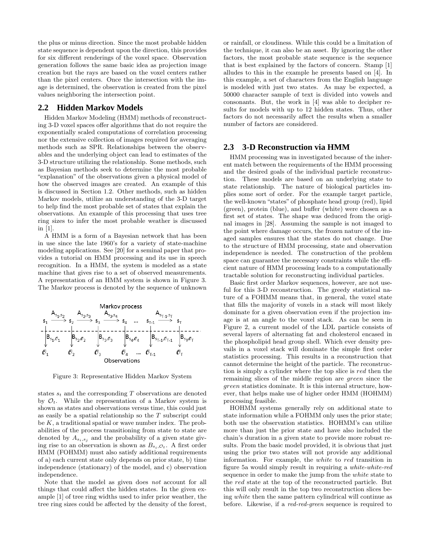the plus or minus direction. Since the most probable hidden state sequence is dependent upon the direction, this provides for six different renderings of the voxel space. Observation generation follows the same basic idea as projection image creation but the rays are based on the voxel centers rather than the pixel centers. Once the intersection with the image is determined, the observation is created from the pixel values neighboring the intersection point.

#### **2.2 Hidden Markov Models**

Hidden Markov Modeling (HMM) methods of reconstructing 3-D voxel spaces offer algorithms that do not require the exponentially scaled computations of correlation processing nor the extensive collection of images required for averaging methods such as SPR. Relationships between the observables and the underlying object can lead to estimates of the 3-D structure utilizing the relationship. Some methods, such as Bayesian methods seek to determine the most probable "explanation" of the observations given a physical model of how the observed images are created. An example of this is discussed in Section 1.2. Other methods, such as hidden Markov models, utilize an understanding of the 3-D target to help find the most probable set of states that explain the observations. An example of this processing that uses tree ring sizes to infer the most probable weather is discussed in [1].

A HMM is a form of a Bayesian network that has been in use since the late 1960's for a variety of state-machine modeling applications. See [20] for a seminal paper that provides a tutorial on HMM processing and its use in speech recognition. In a HMM, the system is modeled as a state machine that gives rise to a set of observed measurements. A representation of an HMM system is shown in Figure 3. The Markov process is denoted by the sequence of unknown



Figure 3: Representative Hidden Markov System

states  $s_t$  and the corresponding T observations are denoted by  $\mathcal{O}_t$ . While the representation of a Markov system is shown as states and observations versus time, this could just as easily be a spatial relationship so the T subscript could be  $K$ , a traditional spatial or wave number index. The probabilities of the process transitioning from state to state are denoted by  $A_{s_i,s_j}$  and the probability of a given state giving rise to an observation is shown as  $B_{s_i,\mathcal{O}_t}$ . A first order HMM (FOHMM) must also satisfy additional requirements of a) each current state only depends on prior state, b) time independence (stationary) of the model, and c) observation independence.

Note that the model as given does *not* account for all things that could affect the hidden states. In the given example [1] of tree ring widths used to infer prior weather, the tree ring sizes could be affected by the density of the forest,

or rainfall, or cloudiness. While this could be a limitation of the technique, it can also be an asset. By ignoring the other factors, the most probable state sequence is the sequence that is best explained by the factors of concern. Stamp [1] alludes to this in the example he presents based on [4]. In this example, a set of characters from the English language is modeled with just two states. As may be expected, a 50000 character sample of text is divided into vowels and consonants. But, the work in [4] was able to decipher results for models with up to 12 hidden states. Thus, other factors do not necessarily affect the results when a smaller number of factors are considered.

#### **2.3 3-D Reconstruction via HMM**

HMM processing was in investigated because of the inherent match between the requirements of the HMM processing and the desired goals of the individual particle reconstruction. These models are based on an underlying state to state relationship. The nature of biological particles implies some sort of order. For the example target particle, the well-known "states" of phosphate head group (red), lipid (green), protein (blue), and buffer (white) were chosen as a first set of states. The shape was deduced from the original images in [28]. Assuming the sample is not imaged to the point where damage occurs, the frozen nature of the imaged samples ensures that the states do not change. Due to the structure of HMM processing, state and observation independence is needed. The construction of the problem space can guarantee the necessary constraints while the efficient nature of HMM processing leads to a computationally tractable solution for reconstructing individual particles.

Basic first order Markov sequences, however, are not useful for this 3-D reconstruction. The greedy statistical nature of a FOHMM means that, in general, the voxel state that fills the majority of voxels in a stack will most likely dominate for a given observation even if the projection image is at an angle to the voxel stack. As can be seen in Figure 2, a current model of the LDL particle consists of several layers of alternating fat and cholesterol encased in the phospholipid head group shell. Which ever density prevails in a voxel stack will dominate the simple first order statistics processing. This results in a reconstruction that cannot determine the height of the particle. The reconstruction is simply a cylinder where the top slice is red then the remaining slices of the middle region are green since the green statistics dominate. It is this internal structure, however, that helps make use of higher order HMM (HOHMM) processing feasible.

HOHMM systems generally rely on additional state to state information while a FOHMM only uses the prior state; both use the observation statistics. HOHMM's can utilize more than just the prior state and have also included the chain's duration in a given state to provide more robust results. From the basic model provided, it is obvious that just using the prior two states will not provide any additional information. For example, the white to red transition in figure 5a would simply result in requiring a *white-white-red* sequence in order to make the jump from the white state to the red state at the top of the reconstructed particle. But this will only result in the top two reconstruction slices being white then the same pattern cylindrical will continue as before. Likewise, if a *red-red-green* sequence is required to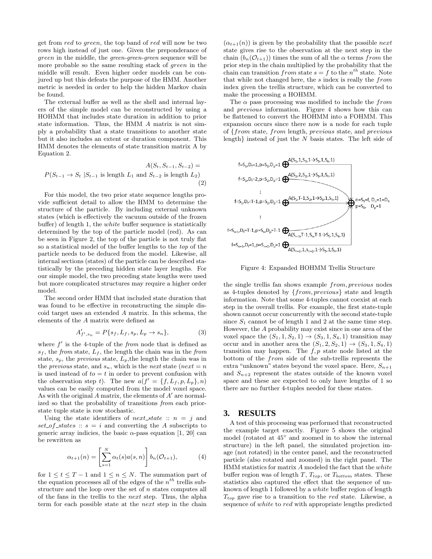get from red to green, the top band of red will now be two rows high instead of just one. Given the preponderance of green in the middle, the *green-green-green* sequence will be more probable so the same resulting stack of green in the middle will result. Even higher order models can be conjured up but this defeats the purpose of the HMM. Another metric is needed in order to help the hidden Markov chain be found.

The external buffer as well as the shell and internal layers of the simple model can be reconstructed by using a HOHMM that includes state duration in addition to prior state information. Thus, the HMM A matrix is not simply a probability that a state transitions to another state but it also includes an extent or duration component. This HMM denotes the elements of state transition matrix A by Equation 2.

$$
A(S_t, S_{t-1}, S_{t-2}) = P(S_{t-1} \to S_t | S_{t-1} \text{ is length } L_1 \text{ and } S_{t-2} \text{ is length } L_2)
$$
\n(2)

For this model, the two prior state sequence lengths provide sufficient detail to allow the HMM to determine the structure of the particle. By including external unknown states (which is effectively the vacuum outside of the frozen buffer) of length 1, the white buffer sequence is statistically determined by the top of the particle model (red). As can be seen in Figure 2, the top of the particle is not truly flat so a statistical model of the buffer lengths to the *top* of the particle needs to be deduced from the model. Likewise, all internal sections (states) of the particle can be described statistically by the preceding hidden state layer lengths. For our simple model, the two preceding state lengths were used but more complicated structures may require a higher order model.

The second order HMM that included state duration that was found to be effective in reconstructing the simple discoid target uses an extended A matrix. In this schema, the elements of the A matrix were defined as

$$
A'_{f',s_n} = P\{s_f, L_f, s_p, L_p \to s_n\},\tag{3}
$$

where  $f'$  is the 4-tuple of the  $from$  node that is defined as  $s_f$ , the *from* state,  $L_f$ , the length the chain was in the *from* state,  $s_p$ , the *previous* state,  $L_p$ , the length the chain was in the *previous* state, and  $s_n$ , which is the *next* state (*next* = *n* is used instead of  $to = t$  in order to prevent confusion with the observation step t). The new  $a(f' = \{f, L_f, p, L_p\}, n)$ values can be easily computed from the model voxel space. As with the original  $\overline{A}$  matrix, the elements of  $\overline{A}'$  are normalized so that the probability of transitions *from* each priorstate tuple state is row stochastic.

Using the state identifiers of *next\_state* ::  $n = j$  and set of states ::  $s = i$  and converting the A subscripts to generic array indicies, the basic  $\alpha$ -pass equation [1, 20] can be rewritten as

$$
\alpha_{t+1}(n) = \left[\sum_{s=1}^{N} \alpha_t(s) a(s, n)\right] b_n(\mathcal{O}_{t+1}),\tag{4}
$$

for  $1 \leq t \leq T-1$  and  $1 \leq n \leq N$ . The summation part of the equation processes all of the edges of the  $n^{th}$  trellis substructure and the loop over the set of n states computes all of the fans in the trellis to the next step. Thus, the alpha term for each possible state at the next step in the chain

 $(\alpha_{t+1}(n))$  is given by the probability that the possible next state gives rise to the observation at the next step in the chain  $(b_n(\mathcal{O}_{t+1}))$  times the sum of all the  $\alpha$  terms from the prior step in the chain multiplied by the probability that the chain can transition  $from$  state  $s = f$  to the  $n^{th}$  state. Note that while not changed here, the s index is really the from index given the trellis structure, which can be converted to make the processing a HOHMM.

The  $\alpha$  pass processing was modified to include the from and previous information. Figure 4 shows how this can be flattened to convert the HOHMM into a FOHMM. This expansion occurs since there now is a node for each tuple of {from state, from length, previous state, and previous length} instead of just the  $N$  basis states. The left side of



Figure 4: Expanded HOHMM Trellis Structure

the single trellis fan shows example from, previous nodes as 4-tuples denoted by {from, previous} state and length information. Note that some 4-tuples cannot coexist at each step in the overall trellis. For example, the first state-tuple shown cannot occur concurrently with the second state-tuple since  $S_1$  cannot be of length 1 and 2 at the same time step. However, the A probability may exist since in one area of the voxel space the  $(S_1, 1, S_2, 1) \rightarrow (S_3, 1, S_4, 1)$  transition may occur and in another area the  $(S_1, 2, S_2, 1) \rightarrow (S_3, 1, S_4, 1)$ transition may happen. The  $f, p$  state node listed at the bottom of the from side of the sub-trellis represents the extra "unknown" states beyond the voxel space. Here,  $S_{n+1}$ and  $S_{n+2}$  represent the states outside of the known voxel space and these are expected to only have lengths of 1 so there are no further 4-tuples needed for these states.

#### **3. RESULTS**

A test of this processing was performed that reconstructed the example target exactly. Figure 5 shows the original model (rotated at  $45^{\circ}$  and zoomed in to show the internal structure) in the left panel, the simulated projection image (not rotated) in the center panel, and the reconstructed particle (also rotated and zoomed) in the right panel. The HMM statistics for matrix A modeled the fact that the white buffer region was of length T,  $T_{top}$ , or  $T_{bottom}$  states. These statistics also captured the effect that the sequence of unknown of length 1 followed by a white buffer region of length  $T_{top}$  gave rise to a transition to the red state. Likewise, a sequence of white to red with appropriate lengths predicted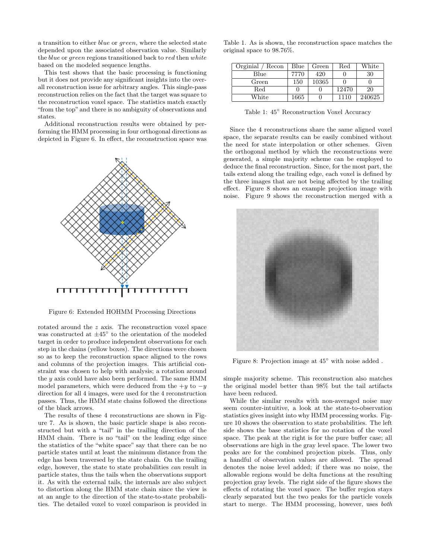a transition to either blue or green, where the selected state depended upon the associated observation value. Similarly the blue or green regions transitioned back to red then white based on the modeled sequence lengths.

This test shows that the basic processing is functioning but it does not provide any significant insights into the overall reconstruction issue for arbitrary angles. This single-pass reconstruction relies on the fact that the target was square to the reconstruction voxel space. The statistics match exactly "from the top" and there is no ambiguity of observations and states.

Additional reconstruction results were obtained by performing the HMM processing in four orthogonal directions as depicted in Figure 6. In effect, the reconstruction space was



Figure 6: Extended HOHMM Processing Directions

rotated around the z axis. The reconstruction voxel space was constructed at ±45◦ to the orientation of the modeled target in order to produce independent observations for each step in the chains (yellow boxes). The directions were chosen so as to keep the reconstruction space aligned to the rows and columns of the projection images. This artificial constraint was chosen to help with analysis; a rotation around the  $\gamma$  axis could have also been performed. The same HMM model parameters, which were deduced from the  $+y$  to  $-y$ direction for all 4 images, were used for the 4 reconstruction passes. Thus, the HMM state chains followed the directions of the black arrows.

The results of these 4 reconstructions are shown in Figure 7. As is shown, the basic particle shape is also reconstructed but with a "tail" in the trailing direction of the HMM chain. There is no "tail" on the leading edge since the statistics of the "white space" say that there can be no particle states until at least the minimum distance from the edge has been traversed by the state chain. On the trailing edge, however, the state to state probabilities *can* result in particle states, thus the tails when the observations support it. As with the external tails, the internals are also subject to distortion along the HMM state chain since the view is at an angle to the direction of the state-to-state probabilities. The detailed voxel to voxel comparison is provided in

Table 1. As is shown, the reconstruction space matches the original space to 98.76%.

| Orginial / Recon | Blue | Green | $_{\rm Red}$ | White  |
|------------------|------|-------|--------------|--------|
| Blue             | 7770 | 420   |              | 30     |
| Green            | 150  | 10365 |              |        |
| $_{\rm Red}$     |      |       | 12470        | 20     |
| White            | 1665 |       | 1110         | 240625 |

Table 1: 45◦ Reconstruction Voxel Accuracy

Since the 4 reconstructions share the same aligned voxel space, the separate results can be easily combined without the need for state interpolation or other schemes. Given the orthogonal method by which the reconstructions were generated, a simple majority scheme can be employed to deduce the final reconstruction. Since, for the most part, the tails extend along the trailing edge, each voxel is defined by the three images that are not being affected by the trailing effect. Figure 8 shows an example projection image with noise. Figure 9 shows the reconstruction merged with a



Figure 8: Projection image at 45◦ with noise added .

simple majority scheme. This reconstruction also matches the original model better than 98% but the tail artifacts have been reduced.

While the similar results with non-averaged noise may seem counter-intuitive, a look at the state-to-observation statistics gives insight into why HMM processing works. Figure 10 shows the observation to state probabilities. The left side shows the base statistics for no rotation of the voxel space. The peak at the right is for the pure buffer case; all observations are high in the gray level space. The lower two peaks are for the combined projection pixels. Thus, only a handful of observation values are allowed. The spread denotes the noise level added; if there was no noise, the allowable regions would be delta functions at the resulting projection gray levels. The right side of the figure shows the effects of rotating the voxel space. The buffer region stays clearly separated but the two peaks for the particle voxels start to merge. The HMM processing, however, uses *both*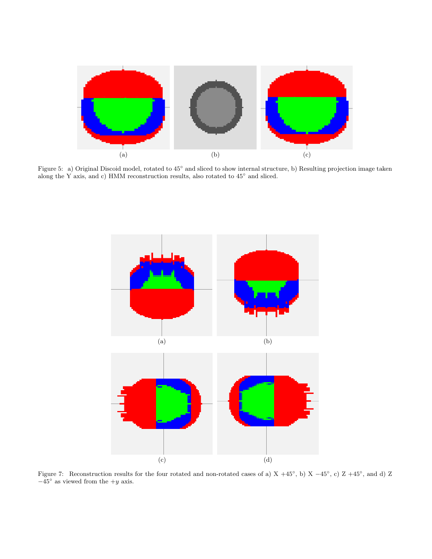

Figure 5: a) Original Discoid model, rotated to 45<sup>°</sup> and sliced to show internal structure, b) Resulting projection image taken along the Y axis, and c) HMM reconstruction results, also rotated to  $45^{\circ}$  and sliced.



Figure 7: Reconstruction results for the four rotated and non-rotated cases of a)  $X + 45°$ , b)  $X - 45°$ , c)  $Z + 45°$ , and d)  $Z - 45°$  as viewed from the  $+y$  axis.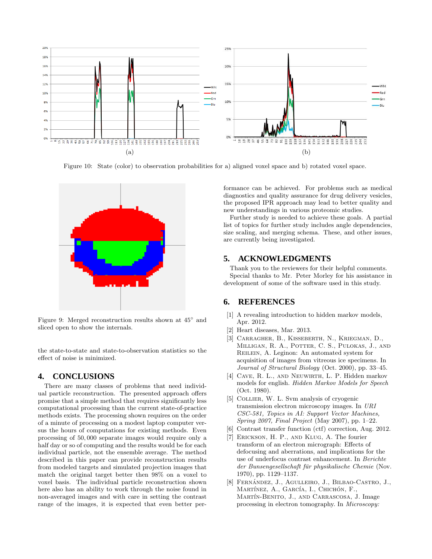

Figure 10: State (color) to observation probabilities for a) aligned voxel space and b) rotated voxel space.



Figure 9: Merged reconstruction results shown at  $45^{\circ}$  and sliced open to show the internals.

the state-to-state and state-to-observation statistics so the effect of noise is minimized.

#### **4. CONCLUSIONS**

There are many classes of problems that need individual particle reconstruction. The presented approach offers promise that a simple method that requires significantly less computational processing than the current state-of-practice methods exists. The processing shown requires on the order of a minute of processing on a modest laptop computer versus the hours of computations for existing methods. Even processing of 50, 000 separate images would require only a half day or so of computing and the results would be for each individual particle, not the ensemble average. The method described in this paper can provide reconstruction results from modeled targets and simulated projection images that match the original target better then 98% on a voxel to voxel basis. The individual particle reconstruction shown here also has an ability to work through the noise found in non-averaged images and with care in setting the contrast range of the images, it is expected that even better performance can be achieved. For problems such as medical diagnostics and quality assurance for drug delivery vesicles, the proposed IPR approach may lead to better quality and new understandings in various proteomic studies.

Further study is needed to achieve these goals. A partial list of topics for further study includes angle dependencies, size scaling, and merging schema. These, and other issues, are currently being investigated.

#### **5. ACKNOWLEDGMENTS**

Thank you to the reviewers for their helpful comments. Special thanks to Mr. Peter Morley for his assistance in development of some of the software used in this study.

#### **6. REFERENCES**

- [1] A revealing introduction to hidden markov models, Apr. 2012.
- [2] Heart diseases, Mar. 2013.
- [3] Carragher, B., Kisseberth, N., Kriegman, D., Milligan, R. A., Potter, C. S., Pulokas, J., and Reilein, A. Leginon: An automated system for acquisition of images from vitreous ice specimens. In *Journal of Structural Biology* (Oct. 2000), pp. 33–45.
- [4] Cave, R. L., and Neuwirth, L. P. Hidden markov models for english. *Hidden Markov Models for Speech* (Oct. 1980).
- [5] COLLIER, W. L. Sym analysis of cryogenic transmission electron microscopy images. In *URI CSC-581, Topics in AI: Support Vector Machines, Spring 2007, Final Project* (May 2007), pp. 1–22.
- [6] Contrast transfer function (ctf) correction, Aug. 2012.
- [7] Erickson, H. P., and Klug, A. The fourier transform of an electron micrograph: Effects of defocusing and aberrations, and implications for the use of underfocus contrast enhancement. In *Berichte der Bunsengesellschaft fur physikalische Chemie ¨* (Nov. 1970), pp. 1129–1137.
- [8] FERNÁNDEZ, J., AGULLEIRO, J., BILBAO-CASTRO, J., MARTÍNEZ, A., GARCÍA, I., CHICHÓN, F., MARTÍN-BENITO, J., AND CARRASCOSA, J. Image processing in electron tomography. In *Microscopy:*